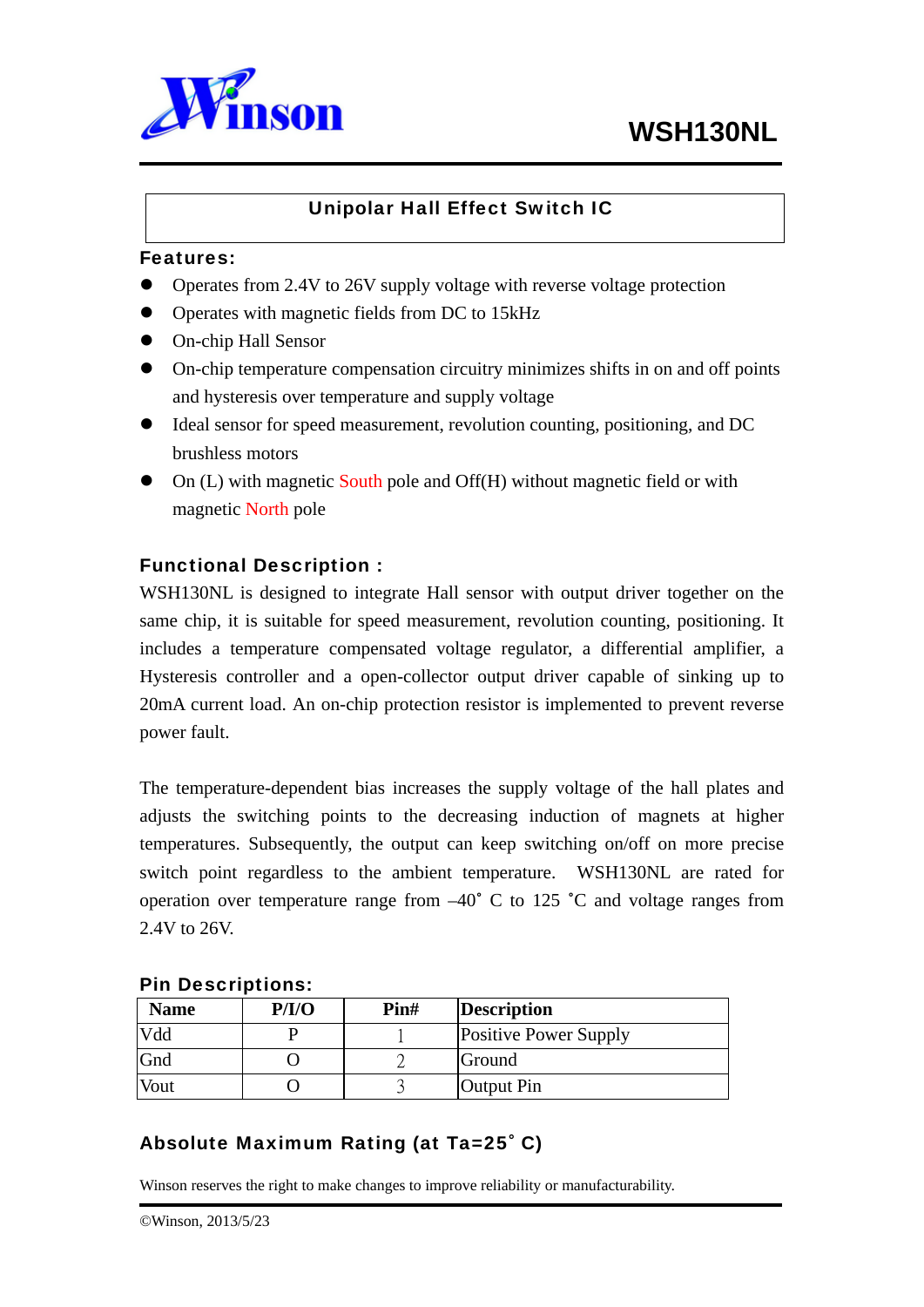

## Unipolar Hall Effect Switch IC

#### Features:

- Operates from 2.4V to 26V supply voltage with reverse voltage protection
- Operates with magnetic fields from DC to 15kHz
- On-chip Hall Sensor
- $\bullet$  On-chip temperature compensation circuitry minimizes shifts in on and off points and hysteresis over temperature and supply voltage
- Ideal sensor for speed measurement, revolution counting, positioning, and DC brushless motors
- $\bullet$  On (L) with magnetic South pole and Off(H) without magnetic field or with magnetic North pole

### Functional Description :

WSH130NL is designed to integrate Hall sensor with output driver together on the same chip, it is suitable for speed measurement, revolution counting, positioning. It includes a temperature compensated voltage regulator, a differential amplifier, a Hysteresis controller and a open-collector output driver capable of sinking up to 20mA current load. An on-chip protection resistor is implemented to prevent reverse power fault.

The temperature-dependent bias increases the supply voltage of the hall plates and adjusts the switching points to the decreasing induction of magnets at higher temperatures. Subsequently, the output can keep switching on/off on more precise switch point regardless to the ambient temperature. WSH130NL are rated for operation over temperature range from –40**˚** C to 125 **˚**C and voltage ranges from 2.4V to 26V.

| <b>Name</b> | P/I/O | Pin# | <b>Description</b>           |
|-------------|-------|------|------------------------------|
| Vdd         |       |      | <b>Positive Power Supply</b> |
| Gnd         |       |      | Ground                       |
| Vout        |       |      | Output Pin                   |

#### Pin Descriptions:

## Absolute Maximum Rating (at Ta=25˚ C)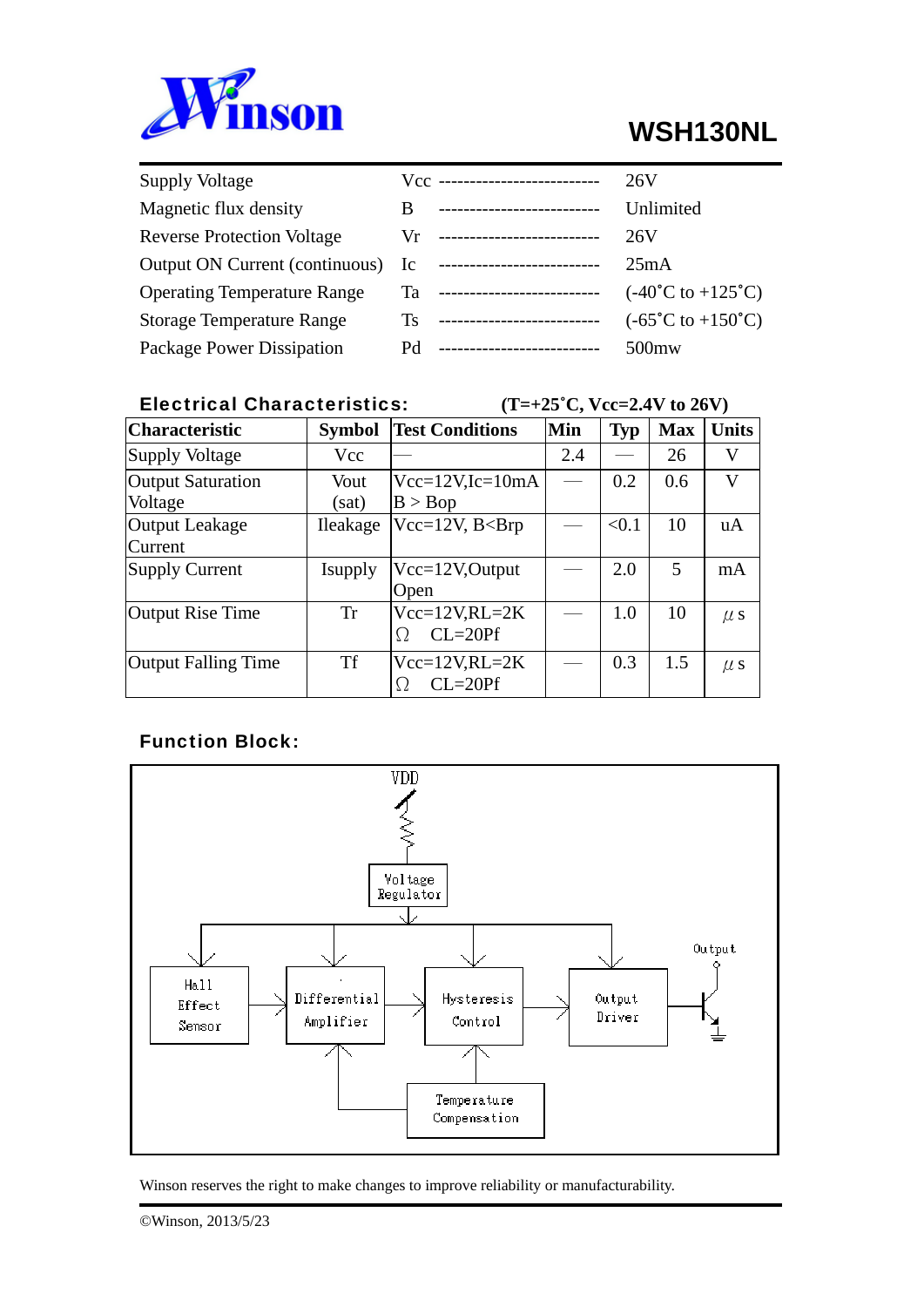

# **WSH130NL**

| <b>Supply Voltage</b>              |    | $Vcc$ ---------------------------- | 26V                                        |
|------------------------------------|----|------------------------------------|--------------------------------------------|
| Magnetic flux density              | B  | --------------------------         | Unlimited                                  |
| <b>Reverse Protection Voltage</b>  |    | $Vr$ ---------------------------   | 26V                                        |
| Output ON Current (continuous) Ic  |    | ---------------------------        | 25mA                                       |
| <b>Operating Temperature Range</b> |    | Ta ----------------------------    | $(-40^{\circ}C \text{ to } +125^{\circ}C)$ |
| <b>Storage Temperature Range</b>   | Ts | --------------------------         | $(-65^{\circ}C \text{ to } +150^{\circ}C)$ |
| Package Power Dissipation          | Pd | --------------------------         | $500$ mw                                   |

## Electrical Characteristics:  $(T=+25^{\circ}C, Vcc=2.4V \text{ to } 26V)$

| <b>Characteristic</b>               | <b>Symbol</b> | <b>Test Conditions</b>              | Min | <b>Typ</b> | <b>Max</b> | <b>Units</b> |
|-------------------------------------|---------------|-------------------------------------|-----|------------|------------|--------------|
| <b>Supply Voltage</b>               | Vcc           |                                     | 2.4 |            | 26         | V            |
| <b>Output Saturation</b><br>Voltage | Vout<br>(sat) | $Vec=12V$ , $Ic=10mA$<br>B > Bop    |     | 0.2        | 0.6        | V            |
| Output Leakage<br>Current           | Ileakage      | $Vec=12V$ , $B<$ Brp                |     | < 0.1      | 10         | uA           |
| Supply Current                      | Isupply       | $Vcc=12V,$ Output<br>Open           |     | 2.0        | 5          | mA           |
| Output Rise Time                    | <b>Tr</b>     | $Vec=12V,RL=2K$<br>$CL = 20Pf$<br>Ω |     | 1.0        | 10         | $\mu$ s      |
| <b>Output Falling Time</b>          | <b>Tf</b>     | $Vec=12V,RL=2K$<br>$CL = 20Pf$<br>C |     | 0.3        | 1.5        | $\mu$ s      |

## Function Block:

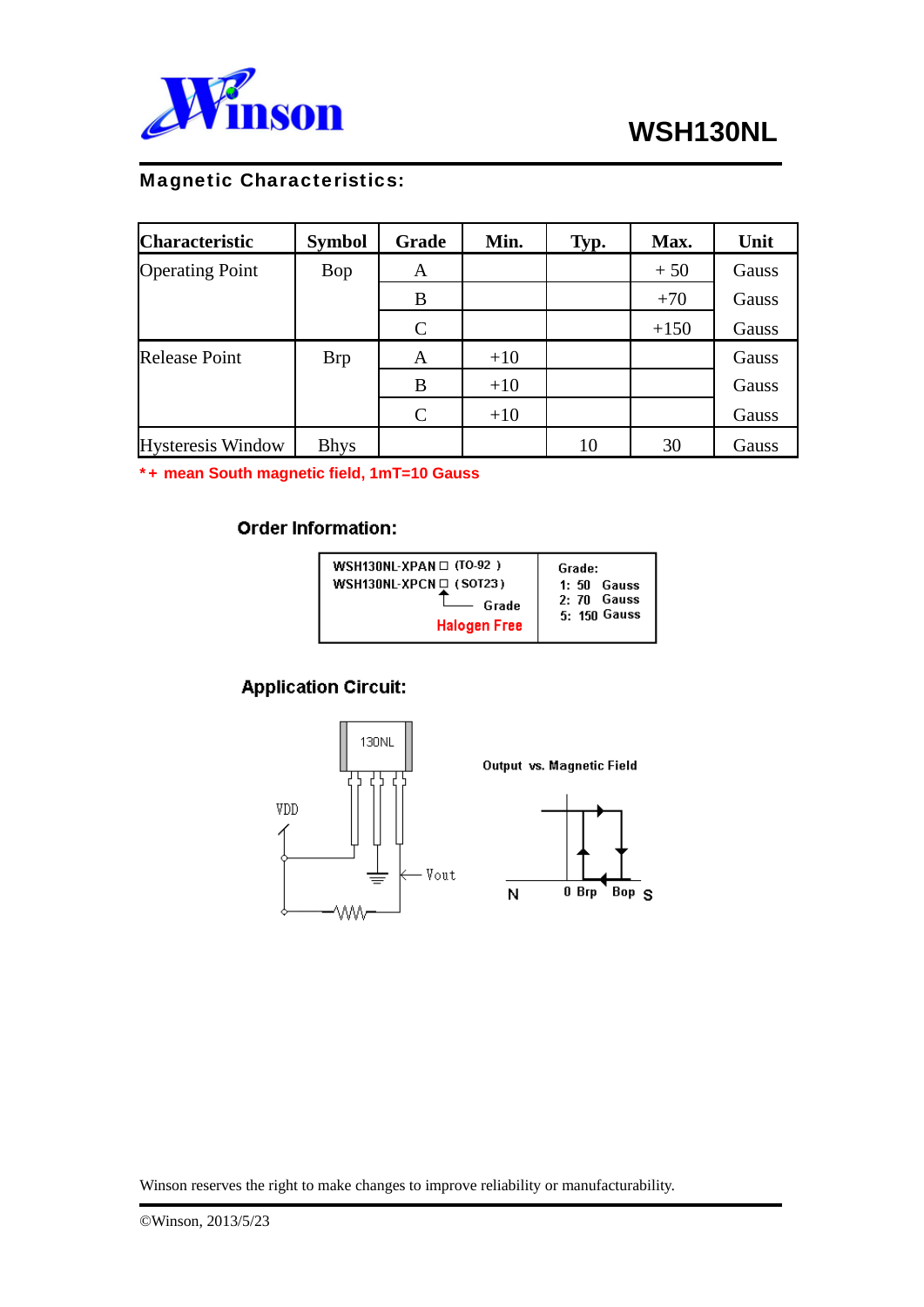

## Magnetic Characteristics:

| <b>Characteristic</b>    | <b>Symbol</b> | Grade         | Min.  | Typ. | Max.   | Unit  |
|--------------------------|---------------|---------------|-------|------|--------|-------|
| <b>Operating Point</b>   | Bop           | A             |       |      | $+50$  | Gauss |
|                          |               | B             |       |      | $+70$  | Gauss |
|                          |               | $\mathcal{C}$ |       |      | $+150$ | Gauss |
| <b>Release Point</b>     | <b>Brp</b>    | A             | $+10$ |      |        | Gauss |
|                          |               | B             | $+10$ |      |        | Gauss |
|                          |               | $\mathsf{C}$  | $+10$ |      |        | Gauss |
| <b>Hysteresis Window</b> | <b>Bhys</b>   |               |       | 10   | 30     | Gauss |

\*+ **mean South magnetic field, 1mT=10 Gauss** 

#### **Order Information:**

## **Application Circuit:**